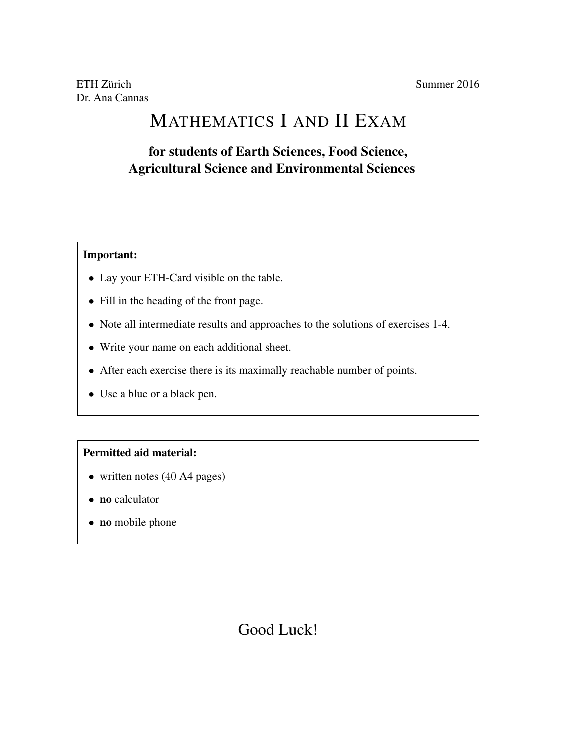# MATHEMATICS I AND II EXAM

### for students of Earth Sciences, Food Science, Agricultural Science and Environmental Sciences

#### Important:

- Lay your ETH-Card visible on the table.
- Fill in the heading of the front page.
- Note all intermediate results and approaches to the solutions of exercises 1-4.
- Write your name on each additional sheet.
- After each exercise there is its maximally reachable number of points.
- Use a blue or a black pen.

### Permitted aid material:

- written notes (40 A4 pages)
- no calculator
- no mobile phone

## Good Luck!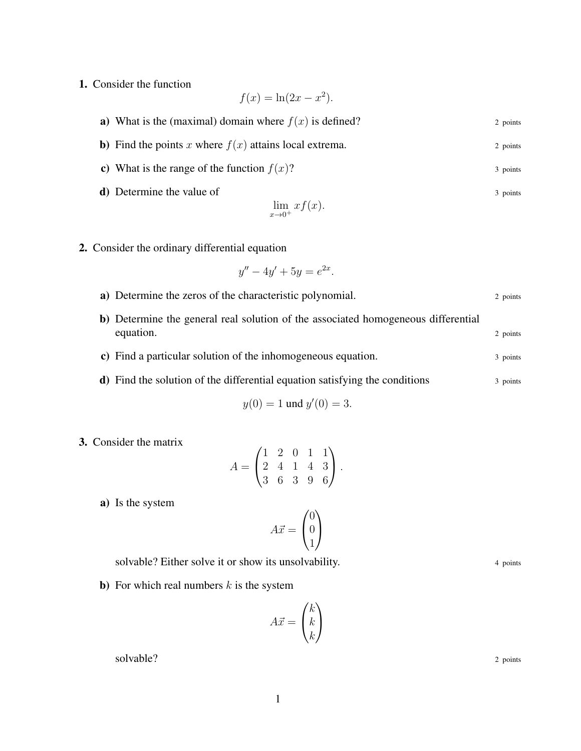1. Consider the function

$$
f(x) = \ln(2x - x^2).
$$

- **a**) What is the (maximal) domain where  $f(x)$  is defined? 2 points
- **b**) Find the points x where  $f(x)$  attains local extrema. 2 points
- c) What is the range of the function  $f(x)$ ? 3 points
- d) Determine the value of 3 points 3 points

$$
\lim_{x \to 0^+} x f(x).
$$

2. Consider the ordinary differential equation

$$
y'' - 4y' + 5y = e^{2x}.
$$

- a) Determine the zeros of the characteristic polynomial. 2 points 2 points b) Determine the general real solution of the associated homogeneous differential equation. 2 points c) Find a particular solution of the inhomogeneous equation. 3 points
- d) Find the solution of the differential equation satisfying the conditions 3 points

$$
y(0) = 1 \text{ und } y'(0) = 3.
$$

3. Consider the matrix

$$
A = \begin{pmatrix} 1 & 2 & 0 & 1 & 1 \\ 2 & 4 & 1 & 4 & 3 \\ 3 & 6 & 3 & 9 & 6 \end{pmatrix}.
$$

a) Is the system

$$
A\vec{x} = \begin{pmatrix} 0 \\ 0 \\ 1 \end{pmatrix}
$$

solvable? Either solve it or show its unsolvability. 4 points 4 points

**b**) For which real numbers  $k$  is the system

$$
A\vec{x} = \begin{pmatrix} k \\ k \\ k \end{pmatrix}
$$

solvable? 2 points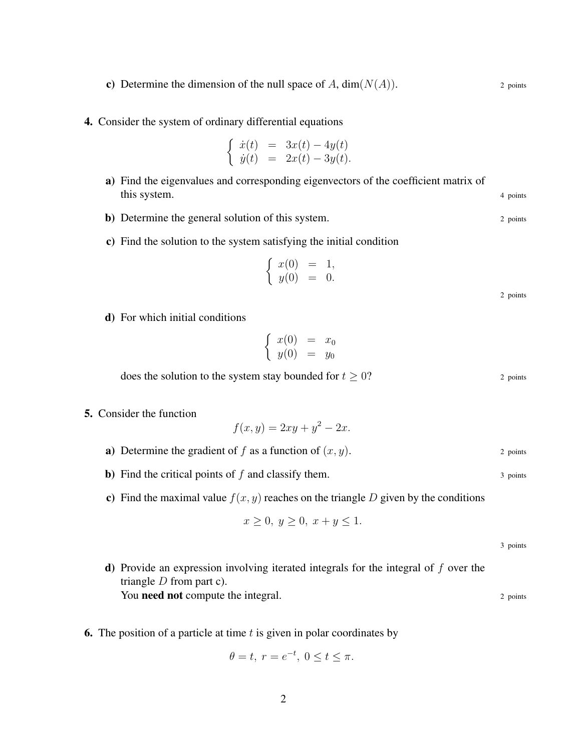- c) Determine the dimension of the null space of A,  $dim(N(A))$ . 2 points
- 4. Consider the system of ordinary differential equations

$$
\begin{cases} \dot{x}(t) = 3x(t) - 4y(t) \\ \dot{y}(t) = 2x(t) - 3y(t). \end{cases}
$$

- a) Find the eigenvalues and corresponding eigenvectors of the coefficient matrix of this system. 4 points 4 points 4 points 4 points 4 points 4 points 4 points 4 points 4 points 4 points 4 points 4 points 4 points 4 points 4 points 4 points 4 points 4 points 4 points 4 points 4 points 4 points 4 points 4
- **b**) Determine the general solution of this system. 2 points 2 points
- c) Find the solution to the system satisfying the initial condition

$$
\left\{\n \begin{array}{rcl}\nx(0) & = & 1, \\
y(0) & = & 0.\n\end{array}\n\right.
$$

2 points

d) For which initial conditions

$$
\left\{\begin{array}{rcl} x(0) & = & x_0 \\ y(0) & = & y_0 \end{array}\right.
$$

does the solution to the system stay bounded for  $t \geq 0$ ? 2 points

5. Consider the function

$$
f(x,y) = 2xy + y^2 - 2x.
$$

- **a**) Determine the gradient of f as a function of  $(x, y)$ . 2 points
- **b**) Find the critical points of f and classify them.  $\frac{3 \text{ points}}{2}$
- c) Find the maximal value  $f(x, y)$  reaches on the triangle D given by the conditions

$$
x \ge 0, y \ge 0, x + y \le 1.
$$

3 points

- **d**) Provide an expression involving iterated integrals for the integral of  $f$  over the triangle  $D$  from part c). You need not compute the integral. 2 points 2 points
- 6. The position of a particle at time  $t$  is given in polar coordinates by

$$
\theta = t, r = e^{-t}, 0 \le t \le \pi.
$$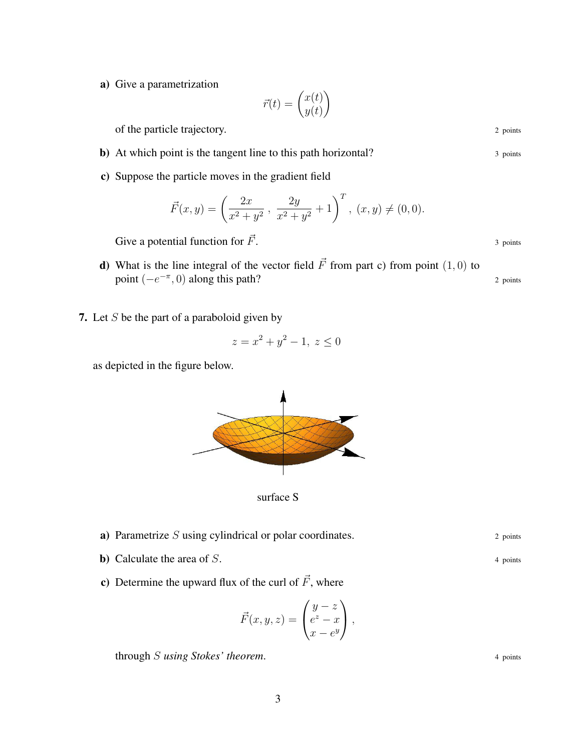a) Give a parametrization

$$
\vec{r}(t) = \begin{pmatrix} x(t) \\ y(t) \end{pmatrix}
$$

of the particle trajectory. 2 points 2 points

- b) At which point is the tangent line to this path horizontal? 3 points
- c) Suppose the particle moves in the gradient field

$$
\vec{F}(x,y) = \left(\frac{2x}{x^2 + y^2}, \frac{2y}{x^2 + y^2} + 1\right)^T, (x, y) \neq (0, 0).
$$

Give a potential function for  $\vec{F}$ . 3 points

- d) What is the line integral of the vector field  $\vec{F}$  from part c) from point (1, 0) to point  $(-e^{-\pi}, 0)$  along this path? 2 points
- 7. Let  $S$  be the part of a paraboloid given by

$$
z = x^2 + y^2 - 1, \ z \le 0
$$

as depicted in the figure below.



surface S

- **a**) Parametrize  $S$  using cylindrical or polar coordinates. 2 points
- **b**) Calculate the area of  $S$ .  $\qquad \qquad$  4 points
- c) Determine the upward flux of the curl of  $\vec{F}$ , where

$$
\vec{F}(x, y, z) = \begin{pmatrix} y - z \\ e^z - x \\ x - e^y \end{pmatrix},
$$

through S using Stokes' theorem. 4 points 4 points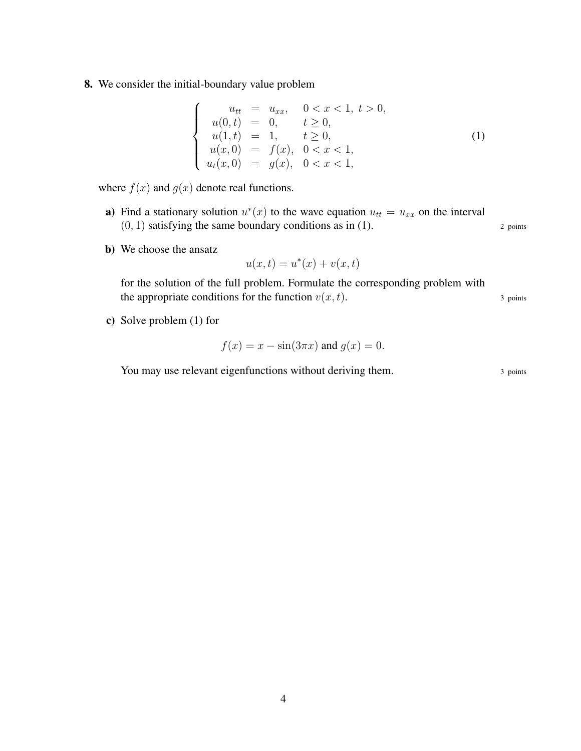8. We consider the initial-boundary value problem

$$
\begin{cases}\n u_{tt} = u_{xx}, & 0 < x < 1, \ t > 0, \\
 u(0, t) = 0, & t \ge 0, \\
 u(1, t) = 1, & t \ge 0, \\
 u(x, 0) = f(x), & 0 < x < 1, \\
 u_t(x, 0) = g(x), & 0 < x < 1,\n\end{cases}\n\tag{1}
$$

where  $f(x)$  and  $g(x)$  denote real functions.

- a) Find a stationary solution  $u^*(x)$  to the wave equation  $u_{tt} = u_{xx}$  on the interval  $(0, 1)$  satisfying the same boundary conditions as in (1). 2 points
- b) We choose the ansatz

$$
u(x,t) = u^*(x) + v(x,t)
$$

for the solution of the full problem. Formulate the corresponding problem with the appropriate conditions for the function  $v(x, t)$ . 3 points

c) Solve problem (1) for

$$
f(x) = x - \sin(3\pi x) \text{ and } g(x) = 0.
$$

You may use relevant eigenfunctions without deriving them. 3 points 3 points

4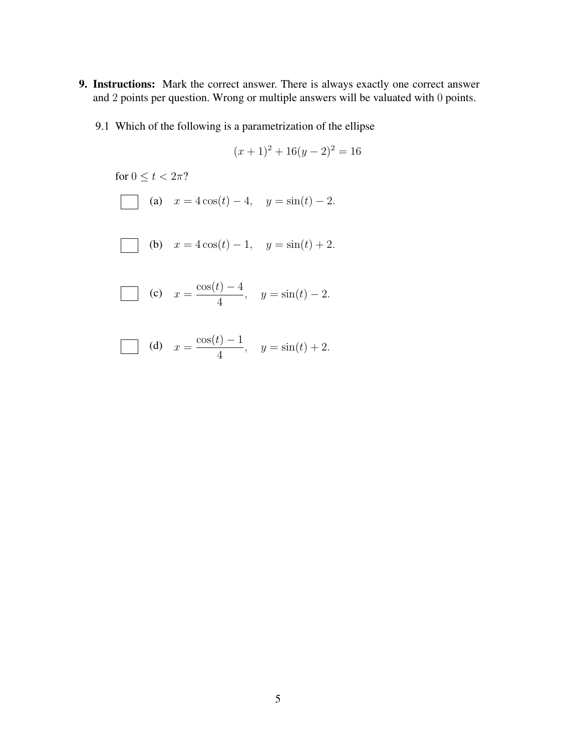- 9. Instructions: Mark the correct answer. There is always exactly one correct answer and 2 points per question. Wrong or multiple answers will be valuated with 0 points.
	- 9.1 Which of the following is a parametrization of the ellipse

$$
(x+1)^2 + 16(y-2)^2 = 16
$$

for  $0 \le t < 2\pi$ ?

(a) 
$$
x = 4\cos(t) - 4
$$
,  $y = \sin(t) - 2$ .

(b) 
$$
x = 4\cos(t) - 1
$$
,  $y = \sin(t) + 2$ .

(c) 
$$
x = \frac{\cos(t) - 4}{4}
$$
,  $y = \sin(t) - 2$ .

(d) 
$$
x = \frac{\cos(t) - 1}{4}
$$
,  $y = \sin(t) + 2$ .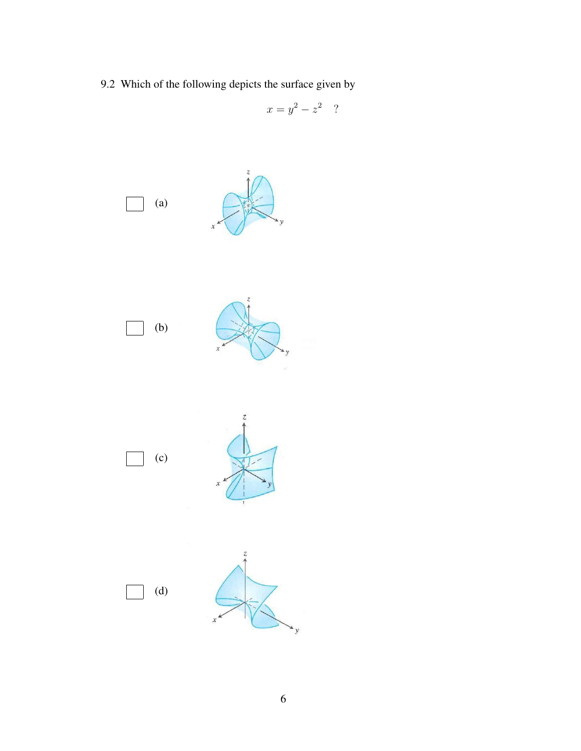9.2 Which of the following depicts the surface given by

$$
x = y^2 - z^2
$$
?

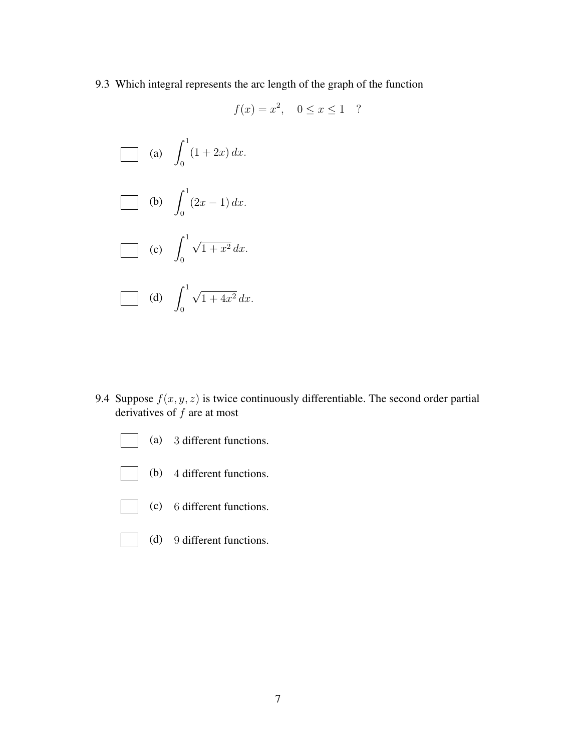9.3 Which integral represents the arc length of the graph of the function

$$
f(x) = x^2, \quad 0 \le x \le 1 \quad ?
$$

(a) 
$$
\int_0^1 (1+2x) dx
$$
.  
\n(b)  $\int_0^1 (2x-1) dx$ .  
\n(c)  $\int_0^1 \sqrt{1+x^2} dx$ .  
\n(d)  $\int_0^1 \sqrt{1+4x^2} dx$ .

9.4 Suppose  $f(x, y, z)$  is twice continuously differentiable. The second order partial derivatives of  $f$  are at most



- (b) 4 different functions.
- (c) 6 different functions.
- (d) 9 different functions.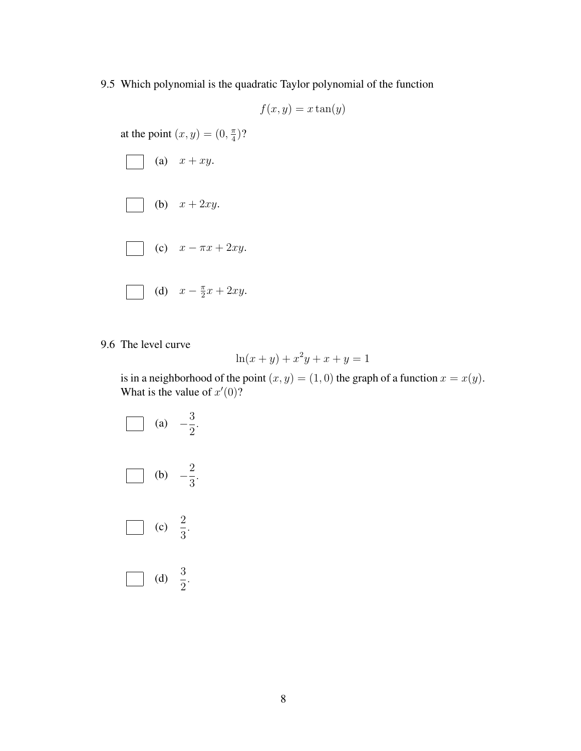9.5 Which polynomial is the quadratic Taylor polynomial of the function

$$
f(x,y) = x \tan(y)
$$

at the point  $(x, y) = (0, \frac{\pi}{4})$  $\frac{\pi}{4}$ )?



9.6 The level curve

$$
\ln(x + y) + x^2y + x + y = 1
$$

is in a neighborhood of the point  $(x, y) = (1, 0)$  the graph of a function  $x = x(y)$ . What is the value of  $x'(0)$ ?

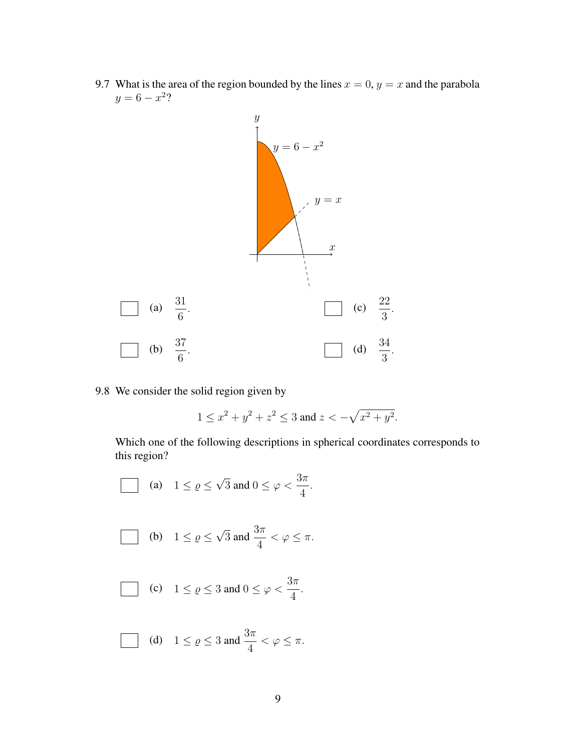9.7 What is the area of the region bounded by the lines  $x = 0$ ,  $y = x$  and the parabola  $y = 6 - x^2?$ 



9.8 We consider the solid region given by

$$
1 \le x^2 + y^2 + z^2 \le 3
$$
 and  $z < -\sqrt{x^2 + y^2}$ .

Which one of the following descriptions in spherical coordinates corresponds to this region?

(a) 
$$
1 \le \varrho \le \sqrt{3}
$$
 and  $0 \le \varphi < \frac{3\pi}{4}$ .  
\n(b)  $1 \le \varrho \le \sqrt{3}$  and  $\frac{3\pi}{4} < \varphi \le \pi$ .  
\n(c)  $1 \le \varrho \le 3$  and  $0 \le \varphi < \frac{3\pi}{4}$ .  
\n(d)  $1 \le \varrho \le 3$  and  $\frac{3\pi}{4} < \varphi \le \pi$ .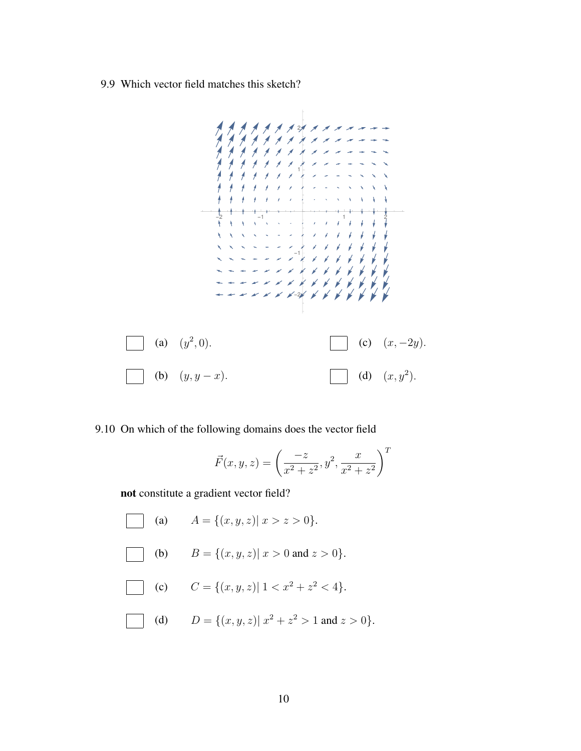9.9 Which vector field matches this sketch?



#### 9.10 On which of the following domains does the vector field

$$
\vec{F}(x, y, z) = \left(\frac{-z}{x^2 + z^2}, y^2, \frac{x}{x^2 + z^2}\right)^T
$$

not constitute a gradient vector field?